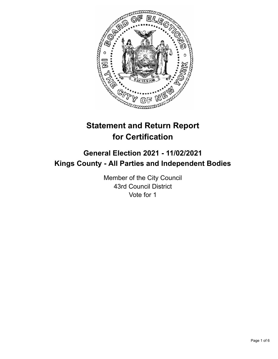

# **Statement and Return Report for Certification**

## **General Election 2021 - 11/02/2021 Kings County - All Parties and Independent Bodies**

Member of the City Council 43rd Council District Vote for 1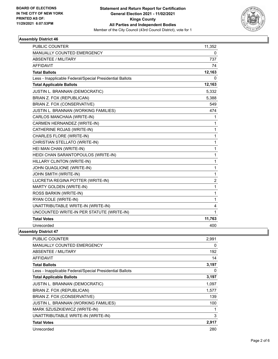

### **Assembly District 46**

| PUBLIC COUNTER                                           | 11,352 |
|----------------------------------------------------------|--------|
| MANUALLY COUNTED EMERGENCY                               | 0      |
| <b>ABSENTEE / MILITARY</b>                               | 737    |
| <b>AFFIDAVIT</b>                                         | 74     |
| <b>Total Ballots</b>                                     | 12,163 |
| Less - Inapplicable Federal/Special Presidential Ballots | 0      |
| <b>Total Applicable Ballots</b>                          | 12,163 |
| JUSTIN L. BRANNAN (DEMOCRATIC)                           | 5,332  |
| BRIAN Z. FOX (REPUBLICAN)                                | 5,388  |
| BRIAN Z. FOX (CONSERVATIVE)                              | 549    |
| JUSTIN L. BRANNAN (WORKING FAMILIES)                     | 474    |
| CARLOS MANCHAIA (WRITE-IN)                               | 1      |
| CARMEN HERNANDEZ (WRITE-IN)                              | 1      |
| CATHERINE ROJAS (WRITE-IN)                               | 1      |
| CHARLES FLORE (WRITE-IN)                                 | 1      |
| CHRISTIAN STELLATO (WRITE-IN)                            | 1      |
| HEI MAN CHAN (WRITE-IN)                                  | 1      |
| HEIDI CHAN SARANTOPOULOS (WRITE-IN)                      | 1      |
| HILLARY CLINTON (WRITE-IN)                               | 1      |
| JOHN QUAGLIONE (WRITE-IN)                                | 1      |
| JOHN SMITH (WRITE-IN)                                    | 1      |
| LUCRETIA REGINA POTTER (WRITE-IN)                        | 2      |
| <b>MARTY GOLDEN (WRITE-IN)</b>                           | 1      |
| ROSS BARKIN (WRITE-IN)                                   | 1      |
| RYAN COLE (WRITE-IN)                                     | 1      |
| UNATTRIBUTABLE WRITE-IN (WRITE-IN)                       | 4      |
| UNCOUNTED WRITE-IN PER STATUTE (WRITE-IN)                | 1      |
| <b>Total Votes</b>                                       | 11,763 |
| Unrecorded                                               | 400    |

**Assembly District 47**

| <b>PUBLIC COUNTER</b>                                    | 2,991 |
|----------------------------------------------------------|-------|
| <b>MANUALLY COUNTED EMERGENCY</b>                        | 0     |
| ABSENTEE / MILITARY                                      | 192   |
| <b>AFFIDAVIT</b>                                         | 14    |
| <b>Total Ballots</b>                                     | 3,197 |
| Less - Inapplicable Federal/Special Presidential Ballots | 0     |
| <b>Total Applicable Ballots</b>                          | 3,197 |
| <b>JUSTIN L. BRANNAN (DEMOCRATIC)</b>                    | 1,097 |
| BRIAN Z. FOX (REPUBLICAN)                                | 1,577 |
| BRIAN Z. FOX (CONSERVATIVE)                              | 139   |
| JUSTIN L. BRANNAN (WORKING FAMILIES)                     | 100   |
| MARK SZUSZKIEWICZ (WRITE-IN)                             | 1     |
| UNATTRIBUTABLE WRITE-IN (WRITE-IN)                       | 3     |
| <b>Total Votes</b>                                       | 2,917 |
| Unrecorded                                               | 280   |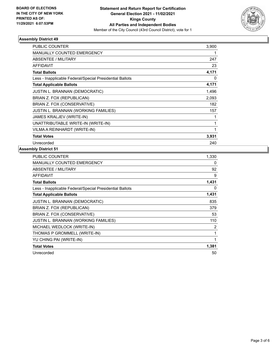

### **Assembly District 49**

| PUBLIC COUNTER<br>3,900<br><b>MANUALLY COUNTED EMERGENCY</b><br>ABSENTEE / MILITARY<br>247<br><b>AFFIDAVIT</b><br>23<br>4,171<br><b>Total Ballots</b><br>Less - Inapplicable Federal/Special Presidential Ballots<br>0<br>4,171<br><b>Total Applicable Ballots</b><br><b>JUSTIN L. BRANNAN (DEMOCRATIC)</b><br>1,496<br>BRIAN Z. FOX (REPUBLICAN)<br>2,093<br>BRIAN Z. FOX (CONSERVATIVE)<br>182<br>JUSTIN L. BRANNAN (WORKING FAMILIES)<br>157<br>JAMES KRALJEV (WRITE-IN)<br>1<br>UNATTRIBUTABLE WRITE-IN (WRITE-IN)<br>1<br>VILMA A REINHARDT (WRITE-IN)<br>1<br>3,931<br><b>Total Votes</b><br>Unrecorded<br>240 |  |
|----------------------------------------------------------------------------------------------------------------------------------------------------------------------------------------------------------------------------------------------------------------------------------------------------------------------------------------------------------------------------------------------------------------------------------------------------------------------------------------------------------------------------------------------------------------------------------------------------------------------|--|
|                                                                                                                                                                                                                                                                                                                                                                                                                                                                                                                                                                                                                      |  |
|                                                                                                                                                                                                                                                                                                                                                                                                                                                                                                                                                                                                                      |  |
|                                                                                                                                                                                                                                                                                                                                                                                                                                                                                                                                                                                                                      |  |
|                                                                                                                                                                                                                                                                                                                                                                                                                                                                                                                                                                                                                      |  |
|                                                                                                                                                                                                                                                                                                                                                                                                                                                                                                                                                                                                                      |  |
|                                                                                                                                                                                                                                                                                                                                                                                                                                                                                                                                                                                                                      |  |
|                                                                                                                                                                                                                                                                                                                                                                                                                                                                                                                                                                                                                      |  |
|                                                                                                                                                                                                                                                                                                                                                                                                                                                                                                                                                                                                                      |  |
|                                                                                                                                                                                                                                                                                                                                                                                                                                                                                                                                                                                                                      |  |
|                                                                                                                                                                                                                                                                                                                                                                                                                                                                                                                                                                                                                      |  |
|                                                                                                                                                                                                                                                                                                                                                                                                                                                                                                                                                                                                                      |  |
|                                                                                                                                                                                                                                                                                                                                                                                                                                                                                                                                                                                                                      |  |
|                                                                                                                                                                                                                                                                                                                                                                                                                                                                                                                                                                                                                      |  |
|                                                                                                                                                                                                                                                                                                                                                                                                                                                                                                                                                                                                                      |  |
|                                                                                                                                                                                                                                                                                                                                                                                                                                                                                                                                                                                                                      |  |
|                                                                                                                                                                                                                                                                                                                                                                                                                                                                                                                                                                                                                      |  |

#### **Assembly District 51**

| PUBLIC COUNTER                                           | 1,330 |
|----------------------------------------------------------|-------|
| <b>MANUALLY COUNTED EMERGENCY</b>                        | 0     |
| ABSENTEE / MILITARY                                      | 92    |
| <b>AFFIDAVIT</b>                                         | 9     |
| <b>Total Ballots</b>                                     | 1,431 |
| Less - Inapplicable Federal/Special Presidential Ballots | 0     |
| <b>Total Applicable Ballots</b>                          | 1,431 |
| JUSTIN L. BRANNAN (DEMOCRATIC)                           | 835   |
| BRIAN Z. FOX (REPUBLICAN)                                | 379   |
| BRIAN Z. FOX (CONSERVATIVE)                              | 53    |
| JUSTIN L. BRANNAN (WORKING FAMILIES)                     | 110   |
| MICHAEL WEDLOCK (WRITE-IN)                               | 2     |
| THOMAS P GROMMELL (WRITE-IN)                             | 1     |
| YU CHING PAI (WRITE-IN)                                  | 1     |
| <b>Total Votes</b>                                       | 1,381 |
| Unrecorded                                               | 50    |
|                                                          |       |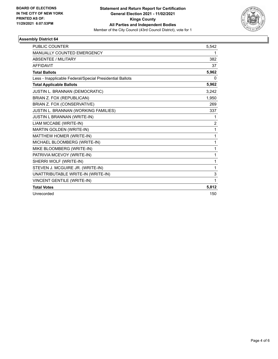

### **Assembly District 64**

| <b>PUBLIC COUNTER</b>                                    | 5,542          |
|----------------------------------------------------------|----------------|
| MANUALLY COUNTED EMERGENCY                               | 1              |
| <b>ABSENTEE / MILITARY</b>                               | 382            |
| <b>AFFIDAVIT</b>                                         | 37             |
| <b>Total Ballots</b>                                     | 5,962          |
| Less - Inapplicable Federal/Special Presidential Ballots | 0              |
| <b>Total Applicable Ballots</b>                          | 5,962          |
| JUSTIN L. BRANNAN (DEMOCRATIC)                           | 3,242          |
| BRIAN Z. FOX (REPUBLICAN)                                | 1,950          |
| BRIAN Z. FOX (CONSERVATIVE)                              | 269            |
| JUSTIN L. BRANNAN (WORKING FAMILIES)                     | 337            |
| JUSTIN L BRANNAN (WRITE-IN)                              | 1              |
| LIAM MCCABE (WRITE-IN)                                   | $\overline{2}$ |
| MARTIN GOLDEN (WRITE-IN)                                 | 1              |
| MATTHEW HOMER (WRITE-IN)                                 | 1              |
| MICHAEL BLOOMBERG (WRITE-IN)                             | $\mathbf{1}$   |
| MIKE BLOOMBERG (WRITE-IN)                                | 1              |
| PATRIVIA MCEVOY (WRITE-IN)                               | 1              |
| SHERRI WOLF (WRITE-IN)                                   | 1              |
| STEVEN J. MCGUIRE JR. (WRITE-IN)                         | $\mathbf{1}$   |
| UNATTRIBUTABLE WRITE-IN (WRITE-IN)                       | 3              |
| VINCENT GENTILE (WRITE-IN)                               | 1              |
| <b>Total Votes</b>                                       | 5,812          |
| Unrecorded                                               | 150            |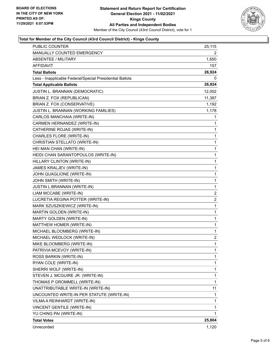

### **Total for Member of the City Council (43rd Council District) - Kings County**

| PUBLIC COUNTER                                           | 25,115         |
|----------------------------------------------------------|----------------|
| MANUALLY COUNTED EMERGENCY                               | 2              |
| <b>ABSENTEE / MILITARY</b>                               | 1,650          |
| <b>AFFIDAVIT</b>                                         | 157            |
| <b>Total Ballots</b>                                     | 26,924         |
| Less - Inapplicable Federal/Special Presidential Ballots | 0              |
| <b>Total Applicable Ballots</b>                          | 26,924         |
| JUSTIN L. BRANNAN (DEMOCRATIC)                           | 12,002         |
| BRIAN Z. FOX (REPUBLICAN)                                | 11,387         |
| BRIAN Z. FOX (CONSERVATIVE)                              | 1,192          |
| JUSTIN L. BRANNAN (WORKING FAMILIES)                     | 1,178          |
| CARLOS MANCHAIA (WRITE-IN)                               | 1              |
| CARMEN HERNANDEZ (WRITE-IN)                              | 1              |
| CATHERINE ROJAS (WRITE-IN)                               | 1              |
| CHARLES FLORE (WRITE-IN)                                 | 1              |
| CHRISTIAN STELLATO (WRITE-IN)                            | 1              |
| HEI MAN CHAN (WRITE-IN)                                  | 1              |
| HEIDI CHAN SARANTOPOULOS (WRITE-IN)                      | 1              |
| HILLARY CLINTON (WRITE-IN)                               | 1              |
| JAMES KRALJEV (WRITE-IN)                                 | 1              |
| JOHN QUAGLIONE (WRITE-IN)                                | 1              |
| JOHN SMITH (WRITE-IN)                                    | 1              |
| JUSTIN L BRANNAN (WRITE-IN)                              | 1              |
| LIAM MCCABE (WRITE-IN)                                   | $\overline{c}$ |
| LUCRETIA REGINA POTTER (WRITE-IN)                        | 2              |
| MARK SZUSZKIEWICZ (WRITE-IN)                             | 1              |
| MARTIN GOLDEN (WRITE-IN)                                 | 1              |
| MARTY GOLDEN (WRITE-IN)                                  | 1              |
| MATTHEW HOMER (WRITE-IN)                                 | 1              |
| MICHAEL BLOOMBERG (WRITE-IN)                             | 1              |
| MICHAEL WEDLOCK (WRITE-IN)                               | $\overline{c}$ |
| MIKE BLOOMBERG (WRITE-IN)                                | $\mathbf{1}$   |
| PATRIVIA MCEVOY (WRITE-IN)                               | 1              |
| ROSS BARKIN (WRITE-IN)                                   | 1              |
| RYAN COLE (WRITE-IN)                                     | 1              |
| SHERRI WOLF (WRITE-IN)                                   | 1              |
| STEVEN J. MCGUIRE JR. (WRITE-IN)                         | 1              |
| THOMAS P GROMMELL (WRITE-IN)                             | 1              |
| UNATTRIBUTABLE WRITE-IN (WRITE-IN)                       | 11             |
| UNCOUNTED WRITE-IN PER STATUTE (WRITE-IN)                | 1              |
| VILMA A REINHARDT (WRITE-IN)                             | 1              |
| VINCENT GENTILE (WRITE-IN)                               | 1              |
| YU CHING PAI (WRITE-IN)                                  | 1              |
| <b>Total Votes</b>                                       | 25,804         |
| Unrecorded                                               | 1,120          |